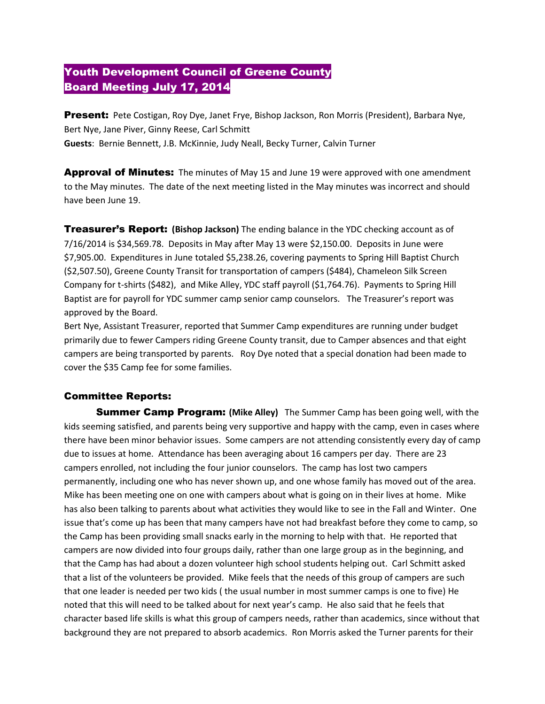## Youth Development Council of Greene County Board Meeting July 17, 2014

Present: Pete Costigan, Roy Dye, Janet Frye, Bishop Jackson, Ron Morris (President), Barbara Nye, Bert Nye, Jane Piver, Ginny Reese, Carl Schmitt **Guests**: Bernie Bennett, J.B. McKinnie, Judy Neall, Becky Turner, Calvin Turner

**Approval of Minutes:** The minutes of May 15 and June 19 were approved with one amendment to the May minutes. The date of the next meeting listed in the May minutes was incorrect and should

Treasurer's Report: **(Bishop Jackson)** The ending balance in the YDC checking account as of 7/16/2014 is \$34,569.78. Deposits in May after May 13 were \$2,150.00. Deposits in June were \$7,905.00. Expenditures in June totaled \$5,238.26, covering payments to Spring Hill Baptist Church (\$2,507.50), Greene County Transit for transportation of campers (\$484), Chameleon Silk Screen Company for t-shirts (\$482), and Mike Alley, YDC staff payroll (\$1,764.76). Payments to Spring Hill Baptist are for payroll for YDC summer camp senior camp counselors. The Treasurer's report was approved by the Board.

Bert Nye, Assistant Treasurer, reported that Summer Camp expenditures are running under budget primarily due to fewer Campers riding Greene County transit, due to Camper absences and that eight campers are being transported by parents. Roy Dye noted that a special donation had been made to cover the \$35 Camp fee for some families.

## Committee Reports:

have been June 19.

Summer Camp Program: **(Mike Alley)** The Summer Camp has been going well, with the kids seeming satisfied, and parents being very supportive and happy with the camp, even in cases where there have been minor behavior issues. Some campers are not attending consistently every day of camp due to issues at home. Attendance has been averaging about 16 campers per day. There are 23 campers enrolled, not including the four junior counselors. The camp has lost two campers permanently, including one who has never shown up, and one whose family has moved out of the area. Mike has been meeting one on one with campers about what is going on in their lives at home. Mike has also been talking to parents about what activities they would like to see in the Fall and Winter. One issue that's come up has been that many campers have not had breakfast before they come to camp, so the Camp has been providing small snacks early in the morning to help with that. He reported that campers are now divided into four groups daily, rather than one large group as in the beginning, and that the Camp has had about a dozen volunteer high school students helping out. Carl Schmitt asked that a list of the volunteers be provided. Mike feels that the needs of this group of campers are such that one leader is needed per two kids ( the usual number in most summer camps is one to five) He noted that this will need to be talked about for next year's camp. He also said that he feels that character based life skills is what this group of campers needs, rather than academics, since without that background they are not prepared to absorb academics. Ron Morris asked the Turner parents for their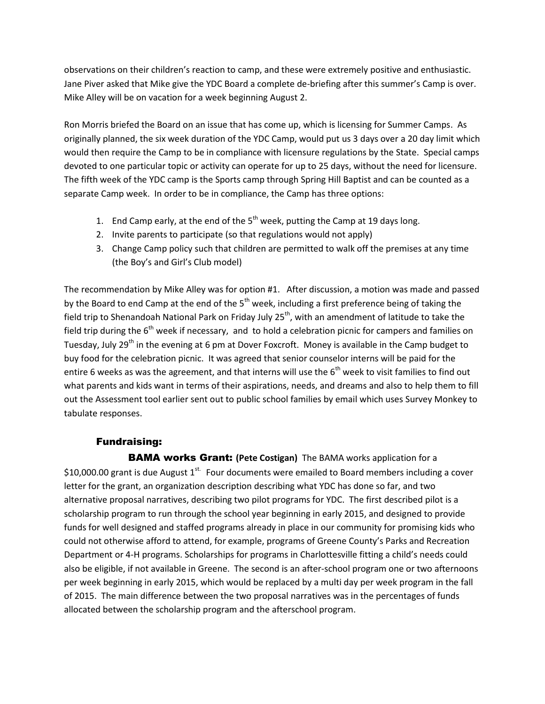observations on their children's reaction to camp, and these were extremely positive and enthusiastic. Jane Piver asked that Mike give the YDC Board a complete de-briefing after this summer's Camp is over. Mike Alley will be on vacation for a week beginning August 2.

Ron Morris briefed the Board on an issue that has come up, which is licensing for Summer Camps. As originally planned, the six week duration of the YDC Camp, would put us 3 days over a 20 day limit which would then require the Camp to be in compliance with licensure regulations by the State. Special camps devoted to one particular topic or activity can operate for up to 25 days, without the need for licensure. The fifth week of the YDC camp is the Sports camp through Spring Hill Baptist and can be counted as a separate Camp week. In order to be in compliance, the Camp has three options:

- 1. End Camp early, at the end of the  $5<sup>th</sup>$  week, putting the Camp at 19 days long.
- 2. Invite parents to participate (so that regulations would not apply)
- 3. Change Camp policy such that children are permitted to walk off the premises at any time (the Boy's and Girl's Club model)

The recommendation by Mike Alley was for option #1. After discussion, a motion was made and passed by the Board to end Camp at the end of the  $5<sup>th</sup>$  week, including a first preference being of taking the field trip to Shenandoah National Park on Friday July 25<sup>th</sup>, with an amendment of latitude to take the field trip during the  $6<sup>th</sup>$  week if necessary, and to hold a celebration picnic for campers and families on Tuesday, July 29<sup>th</sup> in the evening at 6 pm at Dover Foxcroft. Money is available in the Camp budget to buy food for the celebration picnic. It was agreed that senior counselor interns will be paid for the entire 6 weeks as was the agreement, and that interns will use the  $6<sup>th</sup>$  week to visit families to find out what parents and kids want in terms of their aspirations, needs, and dreams and also to help them to fill out the Assessment tool earlier sent out to public school families by email which uses Survey Monkey to tabulate responses.

## Fundraising:

**BAMA works Grant: (Pete Costigan)** The BAMA works application for a \$10,000.00 grant is due August  $1^{st}$ . Four documents were emailed to Board members including a cover letter for the grant, an organization description describing what YDC has done so far, and two alternative proposal narratives, describing two pilot programs for YDC. The first described pilot is a scholarship program to run through the school year beginning in early 2015, and designed to provide funds for well designed and staffed programs already in place in our community for promising kids who could not otherwise afford to attend, for example, programs of Greene County's Parks and Recreation Department or 4-H programs. Scholarships for programs in Charlottesville fitting a child's needs could also be eligible, if not available in Greene. The second is an after-school program one or two afternoons per week beginning in early 2015, which would be replaced by a multi day per week program in the fall of 2015. The main difference between the two proposal narratives was in the percentages of funds allocated between the scholarship program and the afterschool program.